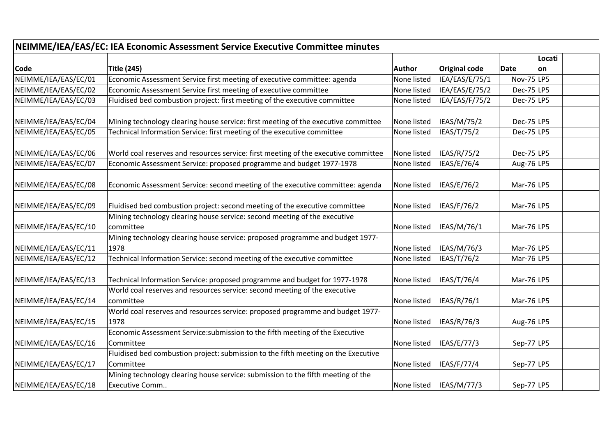| NEIMME/IEA/EAS/EC: IEA Economic Assessment Service Executive Committee minutes |                                                                                                    |             |                      |                |           |  |  |  |  |
|--------------------------------------------------------------------------------|----------------------------------------------------------------------------------------------------|-------------|----------------------|----------------|-----------|--|--|--|--|
|                                                                                |                                                                                                    |             |                      |                | Locati    |  |  |  |  |
| <b>Code</b>                                                                    | <b>Title (245)</b>                                                                                 | Author      | <b>Original code</b> | Date           | <b>on</b> |  |  |  |  |
| NEIMME/IEA/EAS/EC/01                                                           | Economic Assessment Service first meeting of executive committee: agenda                           | None listed | IEA/EAS/E/75/1       | Nov-75 $ LP5 $ |           |  |  |  |  |
| NEIMME/IEA/EAS/EC/02                                                           | Economic Assessment Service first meeting of executive committee                                   | None listed | IEA/EAS/E/75/2       | $Dec-75$ LP5   |           |  |  |  |  |
| NEIMME/IEA/EAS/EC/03                                                           | Fluidised bed combustion project: first meeting of the executive committee                         | None listed | IEA/EAS/F/75/2       | $Dec-75$ LP5   |           |  |  |  |  |
| NEIMME/IEA/EAS/EC/04                                                           | Mining technology clearing house service: first meeting of the executive committee                 | None listed | IEAS/M/75/2          | Dec-75 LP5     |           |  |  |  |  |
| NEIMME/IEA/EAS/EC/05                                                           | Technical Information Service: first meeting of the executive committee                            | None listed | IEAS/T/75/2          | $Dec-75$ LP5   |           |  |  |  |  |
| NEIMME/IEA/EAS/EC/06                                                           | World coal reserves and resources service: first meeting of the executive committee                | None listed | IEAS/R/75/2          | $Dec-75$ LP5   |           |  |  |  |  |
| NEIMME/IEA/EAS/EC/07                                                           | Economic Assessment Service: proposed programme and budget 1977-1978                               | None listed | IEAS/E/76/4          | Aug-76 LP5     |           |  |  |  |  |
| NEIMME/IEA/EAS/EC/08                                                           | Economic Assessment Service: second meeting of the executive committee: agenda                     | None listed | IEAS/E/76/2          | Mar-76 $ LP5$  |           |  |  |  |  |
| NEIMME/IEA/EAS/EC/09                                                           | Fluidised bed combustion project: second meeting of the executive committee                        | None listed | IEAS/F/76/2          | Mar-76 $ LP5$  |           |  |  |  |  |
| NEIMME/IEA/EAS/EC/10                                                           | Mining technology clearing house service: second meeting of the executive<br>committee             | None listed | IEAS/M/76/1          | Mar-76 $ LP5$  |           |  |  |  |  |
| NEIMME/IEA/EAS/EC/11                                                           | Mining technology clearing house service: proposed programme and budget 1977-<br>1978              | None listed | IEAS/M/76/3          | $Mar-76$ LP5   |           |  |  |  |  |
| NEIMME/IEA/EAS/EC/12                                                           | Technical Information Service: second meeting of the executive committee                           | None listed | IEAS/T/76/2          | Mar-76 $ LP5$  |           |  |  |  |  |
| NEIMME/IEA/EAS/EC/13                                                           | Technical Information Service: proposed programme and budget for 1977-1978                         | None listed | IEAS/T/76/4          | Mar-76 $ LP5$  |           |  |  |  |  |
| NEIMME/IEA/EAS/EC/14                                                           | World coal reserves and resources service: second meeting of the executive<br>committee            | None listed | IEAS/R/76/1          | Mar-76 $ LP5$  |           |  |  |  |  |
| NEIMME/IEA/EAS/EC/15                                                           | World coal reserves and resources service: proposed programme and budget 1977-<br>1978             | None listed | IEAS/R/76/3          | Aug-76 LP5     |           |  |  |  |  |
| NEIMME/IEA/EAS/EC/16                                                           | Economic Assessment Service: submission to the fifth meeting of the Executive<br>Committee         | None listed | IEAS/E/77/3          | Sep-77 LP5     |           |  |  |  |  |
| NEIMME/IEA/EAS/EC/17                                                           | Fluidised bed combustion project: submission to the fifth meeting on the Executive<br>Committee    | None listed | IEAS/F/77/4          | Sep-77 LP5     |           |  |  |  |  |
| NEIMME/IEA/EAS/EC/18                                                           | Mining technology clearing house service: submission to the fifth meeting of the<br>Executive Comm | None listed | IEAS/M/77/3          | Sep-77 LP5     |           |  |  |  |  |